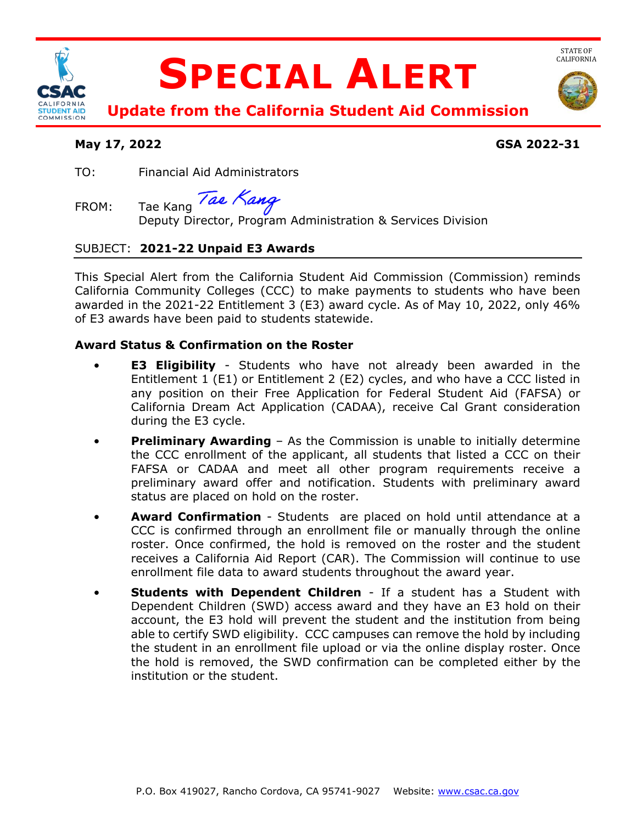

# **SPECIAL ALERT**



STATE OF<br>CALIFORNIA

 **Update from the California Student Aid Commission** 

# **May 17, 2022 GSA 2022-31**

TO: Financial Aid Administrators

Tae Kang Tae Kang

FROM: Tae Kang  $\frac{1}{2}$  Tae Kang dental Program Administration & Services Division

# SUBJECT: **2021-22 Unpaid E3 Awards**

 This Special Alert from the California Student Aid Commission (Commission) reminds California Community Colleges (CCC) to make payments to students who have been awarded in the 2021-22 Entitlement 3 (E3) award cycle. As of May 10, 2022, only 46% of E3 awards have been paid to students statewide.

# **Award Status & Confirmation on the Roster**

- • **E3 Eligibility**  Students who have not already been awarded in the Entitlement 1 (E1) or Entitlement 2 (E2) cycles, and who have a CCC listed in any position on their Free Application for Federal Student Aid (FAFSA) or California Dream Act Application (CADAA), receive Cal Grant consideration during the E3 cycle.
- • **Preliminary Awarding**  As the Commission is unable to initially determine the CCC enrollment of the applicant, all students that listed a CCC on their FAFSA or CADAA and meet all other program requirements receive a preliminary award offer and notification. Students with preliminary award status are placed on hold on the roster.
- • **Award Confirmation**  Students are placed on hold until attendance at a CCC is confirmed through an enrollment file or manually through the online receives a California Aid Report (CAR). The Commission will continue to use roster. Once confirmed, the hold is removed on the roster and the student enrollment file data to award students throughout the award year.
- Dependent Children (SWD) access award and they have an E3 hold on their able to certify SWD eligibility. CCC campuses can remove the hold by including the student in an enrollment file upload or via the online display roster. Once **Students with Dependent Children** - If a student has a Student with account, the E3 hold will prevent the student and the institution from being the hold is removed, the SWD confirmation can be completed either by the institution or the student.